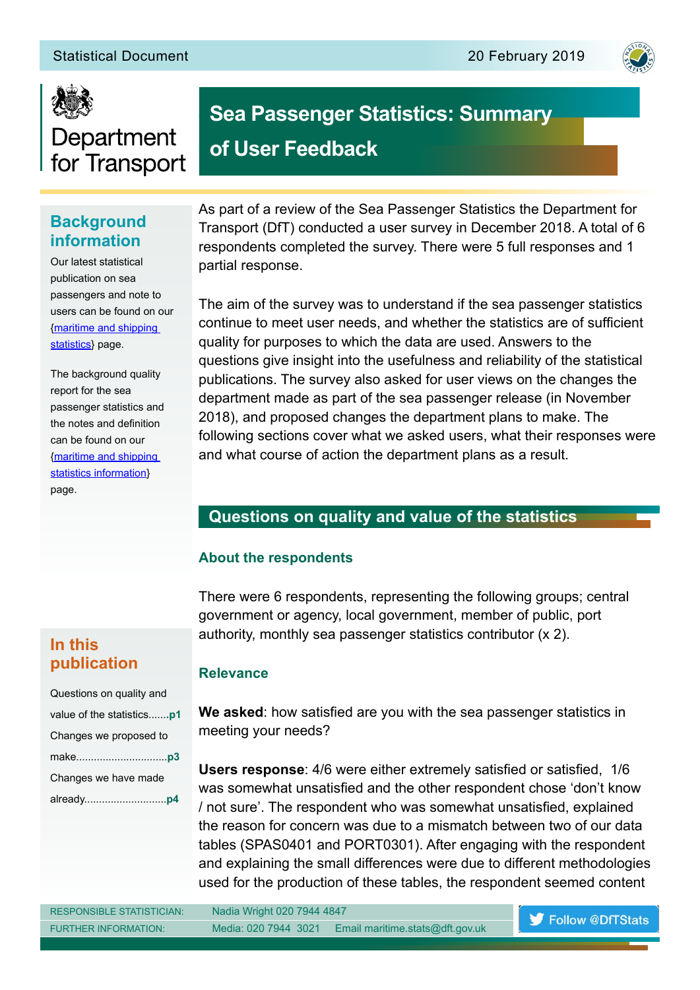



# Department for Transport

# **Background information**

Our latest statistical publication on sea passengers and note to users can be found on our [{maritime and shipping](https://www.gov.uk/government/collections/maritime-and-shipping-statistics)  [statistics}](https://www.gov.uk/government/collections/maritime-and-shipping-statistics) page.

The background quality report for the sea passenger statistics and the notes and definition can be found on our [{maritime and shipping](https://www.gov.uk/guidance/maritime-and-shipping-statistics-information)  [statistics information}](https://www.gov.uk/guidance/maritime-and-shipping-statistics-information) page.

As part of a review of the Sea Passenger Statistics the Department for Transport (DfT) conducted a user survey in December 2018. A total of 6 respondents completed the survey. There were 5 full responses and 1 partial response.

**Sea Passenger Statistics: Summary** 

**of User Feedback**

The aim of the survey was to understand if the sea passenger statistics continue to meet user needs, and whether the statistics are of sufficient quality for purposes to which the data are used. Answers to the questions give insight into the usefulness and reliability of the statistical publications. The survey also asked for user views on the changes the department made as part of the sea passenger release (in November 2018), and proposed changes the department plans to make. The following sections cover what we asked users, what their responses were and what course of action the department plans as a result.

# **Questions on quality and value of the statistics**

#### **About the respondents**

There were 6 respondents, representing the following groups; central government or agency, local government, member of public, port authority, monthly sea passenger statistics contributor (x 2).

# **In this publication**

| Questions on quality and  |
|---------------------------|
| value of the statisticsp1 |
| Changes we proposed to    |
|                           |
| Changes we have made      |
|                           |

#### **Relevance**

**We asked:** how satisfied are you with the sea passenger statistics in meeting your needs?

**Users response**: 4/6 were either extremely satisfied or satisfied, 1/6 was somewhat unsatisfied and the other respondent chose 'don't know If not sure'. The respondent who was somewhat unsatisfied, explained the reason for concern was due to a mismatch between two of our data tables (SPAS0401 and PORT0301). After engaging with the respondent and explaining the small differences were due to different methodologies used for the production of these tables, the respondent seemed content

| <b>RESPONSIBLE STATISTICIAN</b> |
|---------------------------------|
| <b>FURTHER INFORMATION:</b>     |

Nadia Wright 020 7944 4847 Media: 020 7944 3021 Email maritime.stats@dft.gov.uk

Follow @DfTStats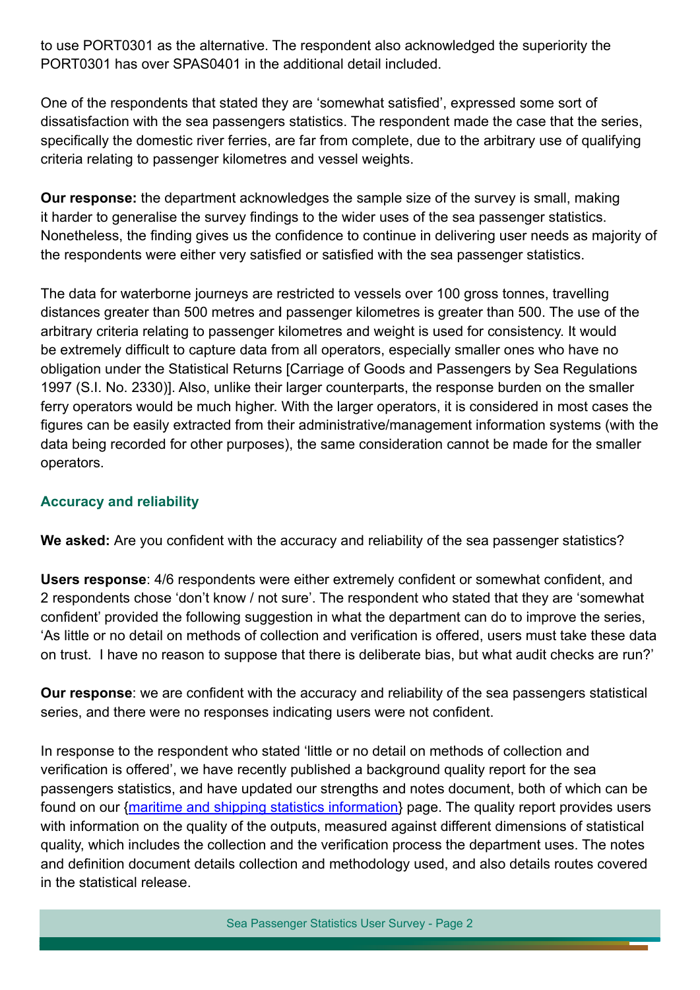to use PORT0301 as the alternative. The respondent also acknowledged the superiority the PORT0301 has over SPAS0401 in the additional detail included.

One of the respondents that stated they are 'somewhat satisfied', expressed some sort of dissatisfaction with the sea passengers statistics. The respondent made the case that the series, specifically the domestic river ferries, are far from complete, due to the arbitrary use of qualifying criteria relating to passenger kilometres and vessel weights.

**Our response:** the department acknowledges the sample size of the survey is small, making it harder to generalise the survey findings to the wider uses of the sea passenger statistics. Nonetheless, the finding gives us the confidence to continue in delivering user needs as majority of the respondents were either very satisfied or satisfied with the sea passenger statistics.

The data for waterborne journeys are restricted to vessels over 100 gross tonnes, travelling distances greater than 500 metres and passenger kilometres is greater than 500. The use of the arbitrary criteria relating to passenger kilometres and weight is used for consistency. It would be extremely difficult to capture data from all operators, especially smaller ones who have no obligation under the Statistical Returns [Carriage of Goods and Passengers by Sea Regulations 1997 (S.I. No. 2330)]. Also, unlike their larger counterparts, the response burden on the smaller ferry operators would be much higher. With the larger operators, it is considered in most cases the figures can be easily extracted from their administrative/management information systems (with the data being recorded for other purposes), the same consideration cannot be made for the smaller operators.

#### **Accuracy and reliability**

**We asked:** Are you confident with the accuracy and reliability of the sea passenger statistics?

**Users response**: 4/6 respondents were either extremely confident or somewhat confident, and 2 respondents chose 'don't know / not sure'. The respondent who stated that they are 'somewhat confident' provided the following suggestion in what the department can do to improve the series, 'As little or no detail on methods of collection and verification is offered, users must take these data on trust. I have no reason to suppose that there is deliberate bias, but what audit checks are run?'

**Our response**: we are confident with the accuracy and reliability of the sea passengers statistical series, and there were no responses indicating users were not confident.

In response to the respondent who stated 'little or no detail on methods of collection and verification is offered', we have recently published a background quality report for the sea passengers statistics, and have updated our strengths and notes document, both of which can be found on our [{maritime and shipping statistics information}](https://www.gov.uk/guidance/maritime-and-shipping-statistics-information) page. The quality report provides users with information on the quality of the outputs, measured against different dimensions of statistical quality, which includes the collection and the verification process the department uses. The notes and definition document details collection and methodology used, and also details routes covered in the statistical release.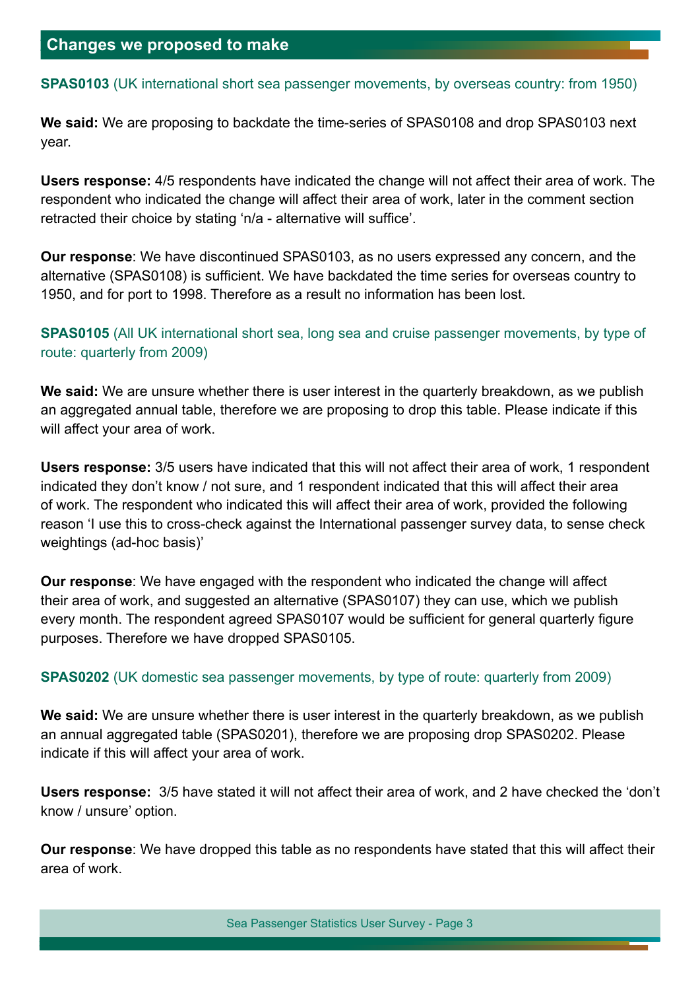#### **SPAS0103** (UK international short sea passenger movements, by overseas country: from 1950)

**We said:** We are proposing to backdate the time-series of SPAS0108 and drop SPAS0103 next year.

**Users response:** 4/5 respondents have indicated the change will not affect their area of work. The respondent who indicated the change will affect their area of work, later in the comment section retracted their choice by stating 'n/a - alternative will suffice'.

**Our response**: We have discontinued SPAS0103, as no users expressed any concern, and the alternative (SPAS0108) is sufficient. We have backdated the time series for overseas country to 1950, and for port to 1998. Therefore as a result no information has been lost.

### **SPAS0105** (All UK international short sea, long sea and cruise passenger movements, by type of route: quarterly from 2009)

**We said:** We are unsure whether there is user interest in the quarterly breakdown, as we publish an aggregated annual table, therefore we are proposing to drop this table. Please indicate if this will affect your area of work.

**Users response:** 3/5 users have indicated that this will not affect their area of work, 1 respondent indicated they don't know / not sure, and 1 respondent indicated that this will affect their area of work. The respondent who indicated this will affect their area of work, provided the following reason 'I use this to cross-check against the International passenger survey data, to sense check weightings (ad-hoc basis)'

**Our response**: We have engaged with the respondent who indicated the change will affect their area of work, and suggested an alternative (SPAS0107) they can use, which we publish every month. The respondent agreed SPAS0107 would be sufficient for general quarterly figure purposes. Therefore we have dropped SPAS0105.

#### **SPAS0202** (UK domestic sea passenger movements, by type of route: quarterly from 2009)

**We said:** We are unsure whether there is user interest in the quarterly breakdown, as we publish an annual aggregated table (SPAS0201), therefore we are proposing drop SPAS0202. Please indicate if this will affect your area of work.

**Users response:** 3/5 have stated it will not affect their area of work, and 2 have checked the 'don't know / unsure' option.

**Our response**: We have dropped this table as no respondents have stated that this will affect their area of work.

Sea Passenger Statistics User Survey - Page 3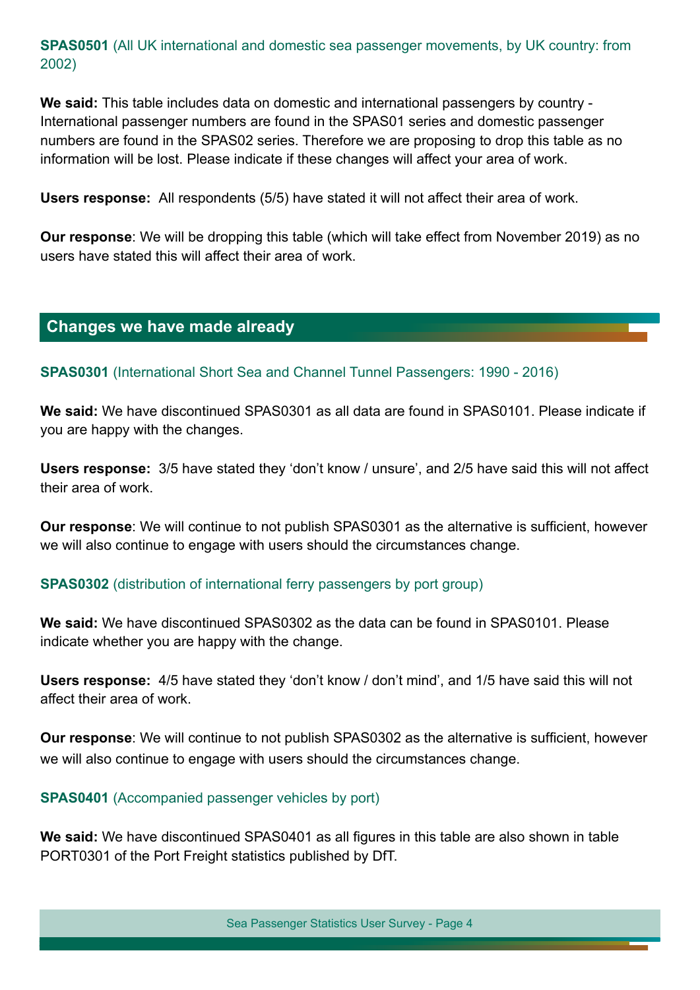**SPAS0501** (All UK international and domestic sea passenger movements, by UK country: from 2002)

**We said:** This table includes data on domestic and international passengers by country - International passenger numbers are found in the SPAS01 series and domestic passenger numbers are found in the SPAS02 series. Therefore we are proposing to drop this table as no information will be lost. Please indicate if these changes will affect your area of work.

**Users response:** All respondents (5/5) have stated it will not affect their area of work.

**Our response**: We will be dropping this table (which will take effect from November 2019) as no users have stated this will affect their area of work.

## **Changes we have made already**

**SPAS0301** (International Short Sea and Channel Tunnel Passengers: 1990 - 2016)

**We said:** We have discontinued SPAS0301 as all data are found in SPAS0101. Please indicate if you are happy with the changes.

**Users response:** 3/5 have stated they 'don't know / unsure', and 2/5 have said this will not affect their area of work.

**Our response**: We will continue to not publish SPAS0301 as the alternative is sufficient, however we will also continue to engage with users should the circumstances change.

#### **SPAS0302** (distribution of international ferry passengers by port group)

**We said:** We have discontinued SPAS0302 as the data can be found in SPAS0101. Please indicate whether you are happy with the change.

**Users response:** 4/5 have stated they 'don't know / don't mind', and 1/5 have said this will not affect their area of work.

**Our response**: We will continue to not publish SPAS0302 as the alternative is sufficient, however we will also continue to engage with users should the circumstances change.

#### **SPAS0401** (Accompanied passenger vehicles by port)

**We said:** We have discontinued SPAS0401 as all figures in this table are also shown in table PORT0301 of the Port Freight statistics published by DfT.